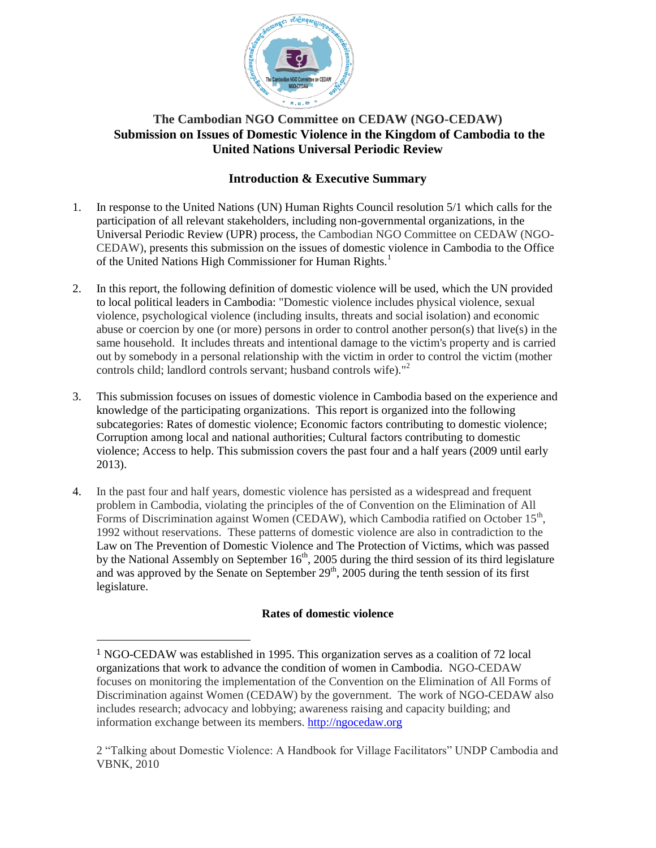

# **The Cambodian NGO Committee on CEDAW (NGO-CEDAW) Submission on Issues of Domestic Violence in the Kingdom of Cambodia to the United Nations Universal Periodic Review**

# **Introduction & Executive Summary**

- 1. In response to the United Nations (UN) Human Rights Council resolution 5/1 which calls for the participation of all relevant stakeholders, including non-governmental organizations, in the Universal Periodic Review (UPR) process, the Cambodian NGO Committee on CEDAW (NGO-CEDAW), presents this submission on the issues of domestic violence in Cambodia to the Office of the United Nations High Commissioner for Human Rights.<sup>1</sup>
- 2. In this report, the following definition of domestic violence will be used, which the UN provided to local political leaders in Cambodia: "Domestic violence includes physical violence, sexual violence, psychological violence (including insults, threats and social isolation) and economic abuse or coercion by one (or more) persons in order to control another person(s) that live(s) in the same household. It includes threats and intentional damage to the victim's property and is carried out by somebody in a personal relationship with the victim in order to control the victim (mother controls child; landlord controls servant; husband controls wife)."<sup>2</sup>
- 3. This submission focuses on issues of domestic violence in Cambodia based on the experience and knowledge of the participating organizations. This report is organized into the following subcategories: Rates of domestic violence; Economic factors contributing to domestic violence; Corruption among local and national authorities; Cultural factors contributing to domestic violence; Access to help. This submission covers the past four and a half years (2009 until early 2013).
- 4. In the past four and half years, domestic violence has persisted as a widespread and frequent problem in Cambodia, violating the principles of the of Convention on the Elimination of All Forms of Discrimination against Women (CEDAW), which Cambodia ratified on October  $15<sup>th</sup>$ , 1992 without reservations. These patterns of domestic violence are also in contradiction to the Law on The Prevention of Domestic Violence and The Protection of Victims, which was passed by the National Assembly on September  $16<sup>th</sup>$ , 2005 during the third session of its third legislature and was approved by the Senate on September  $29<sup>th</sup>$ , 2005 during the tenth session of its first legislature.

## **Rates of domestic violence**

l

<sup>1</sup> NGO-CEDAW was established in 1995. This organization serves as a coalition of 72 local organizations that work to advance the condition of women in Cambodia. NGO-CEDAW focuses on monitoring the implementation of the Convention on the Elimination of All Forms of Discrimination against Women (CEDAW) by the government. The work of NGO-CEDAW also includes research; advocacy and lobbying; awareness raising and capacity building; and information exchange between its members. [http://ngocedaw.org](http://ngocedaw.org/)

<sup>2</sup> "Talking about Domestic Violence: A Handbook for Village Facilitators" UNDP Cambodia and VBNK, 2010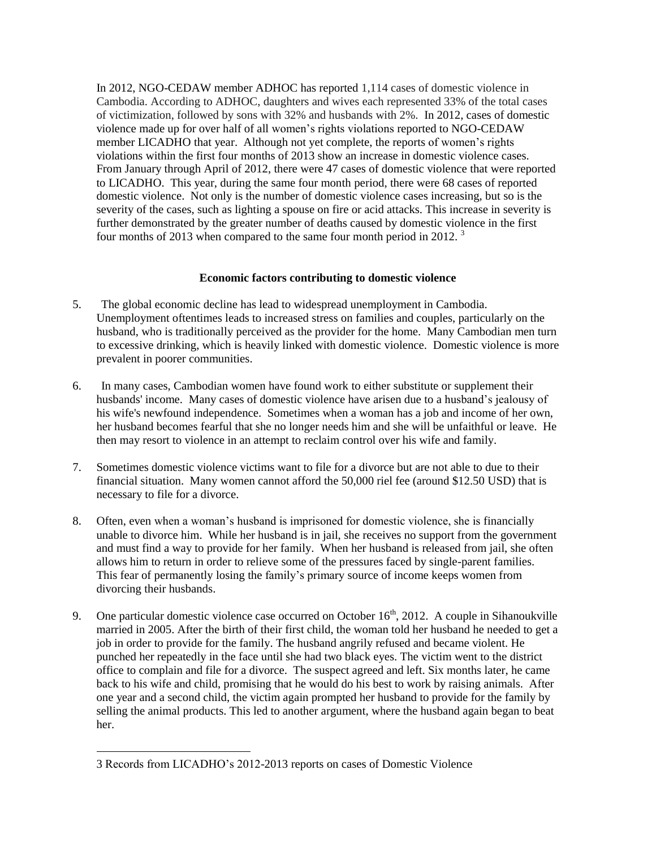In 2012, NGO-CEDAW member ADHOC has reported 1,114 cases of domestic violence in Cambodia. According to ADHOC, daughters and wives each represented 33% of the total cases of victimization, followed by sons with 32% and husbands with 2%. In 2012, cases of domestic violence made up for over half of all women's rights violations reported to NGO-CEDAW member LICADHO that year. Although not yet complete, the reports of women's rights violations within the first four months of 2013 show an increase in domestic violence cases. From January through April of 2012, there were 47 cases of domestic violence that were reported to LICADHO. This year, during the same four month period, there were 68 cases of reported domestic violence. Not only is the number of domestic violence cases increasing, but so is the severity of the cases, such as lighting a spouse on fire or acid attacks. This increase in severity is further demonstrated by the greater number of deaths caused by domestic violence in the first four months of 2013 when compared to the same four month period in 2012.

### **Economic factors contributing to domestic violence**

- 5. The global economic decline has lead to widespread unemployment in Cambodia. Unemployment oftentimes leads to increased stress on families and couples, particularly on the husband, who is traditionally perceived as the provider for the home. Many Cambodian men turn to excessive drinking, which is heavily linked with domestic violence. Domestic violence is more prevalent in poorer communities.
- 6. In many cases, Cambodian women have found work to either substitute or supplement their husbands' income. Many cases of domestic violence have arisen due to a husband's jealousy of his wife's newfound independence. Sometimes when a woman has a job and income of her own, her husband becomes fearful that she no longer needs him and she will be unfaithful or leave. He then may resort to violence in an attempt to reclaim control over his wife and family.
- 7. Sometimes domestic violence victims want to file for a divorce but are not able to due to their financial situation. Many women cannot afford the 50,000 riel fee (around \$12.50 USD) that is necessary to file for a divorce.
- 8. Often, even when a woman's husband is imprisoned for domestic violence, she is financially unable to divorce him. While her husband is in jail, she receives no support from the government and must find a way to provide for her family. When her husband is released from jail, she often allows him to return in order to relieve some of the pressures faced by single-parent families. This fear of permanently losing the family's primary source of income keeps women from divorcing their husbands.
- 9. One particular domestic violence case occurred on October  $16<sup>th</sup>$ , 2012. A couple in Sihanoukville married in 2005. After the birth of their first child, the woman told her husband he needed to get a job in order to provide for the family. The husband angrily refused and became violent. He punched her repeatedly in the face until she had two black eyes. The victim went to the district office to complain and file for a divorce. The suspect agreed and left. Six months later, he came back to his wife and child, promising that he would do his best to work by raising animals. After one year and a second child, the victim again prompted her husband to provide for the family by selling the animal products. This led to another argument, where the husband again began to beat her.

 $\overline{a}$ 

<sup>3</sup> Records from LICADHO's 2012-2013 reports on cases of Domestic Violence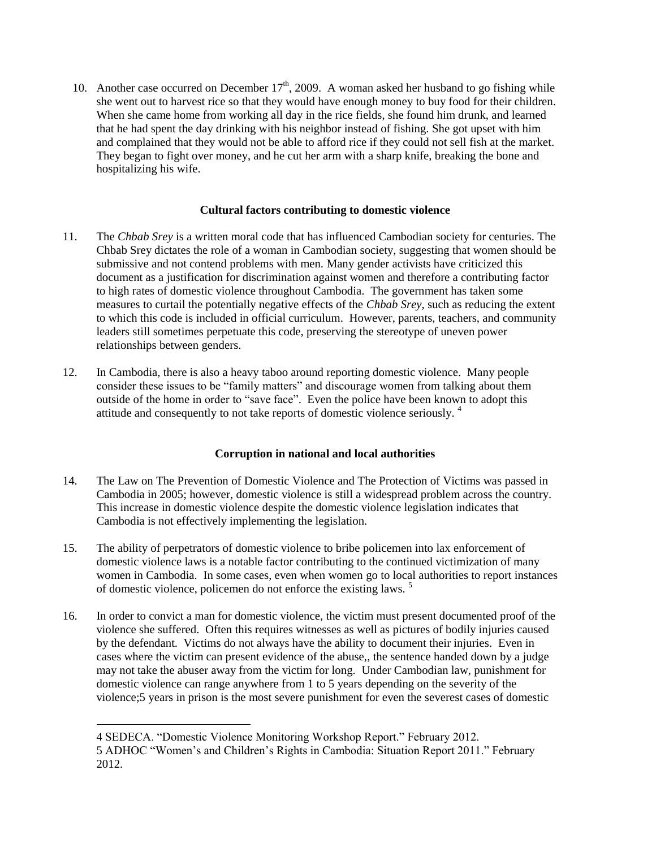10. Another case occurred on December  $17<sup>th</sup>$ , 2009. A woman asked her husband to go fishing while she went out to harvest rice so that they would have enough money to buy food for their children. When she came home from working all day in the rice fields, she found him drunk, and learned that he had spent the day drinking with his neighbor instead of fishing. She got upset with him and complained that they would not be able to afford rice if they could not sell fish at the market. They began to fight over money, and he cut her arm with a sharp knife, breaking the bone and hospitalizing his wife.

### **Cultural factors contributing to domestic violence**

- 11. The *Chbab Srey* is a written moral code that has influenced Cambodian society for centuries. The Chbab Srey dictates the role of a woman in Cambodian society, suggesting that women should be submissive and not contend problems with men. Many gender activists have criticized this document as a justification for discrimination against women and therefore a contributing factor to high rates of domestic violence throughout Cambodia. The government has taken some measures to curtail the potentially negative effects of the *Chbab Srey*, such as reducing the extent to which this code is included in official curriculum. However, parents, teachers, and community leaders still sometimes perpetuate this code, preserving the stereotype of uneven power relationships between genders.
- 12. In Cambodia, there is also a heavy taboo around reporting domestic violence. Many people consider these issues to be "family matters" and discourage women from talking about them outside of the home in order to "save face". Even the police have been known to adopt this attitude and consequently to not take reports of domestic violence seriously. <sup>4</sup>

## **Corruption in national and local authorities**

- 14. The Law on The Prevention of Domestic Violence and The Protection of Victims was passed in Cambodia in 2005; however, domestic violence is still a widespread problem across the country. This increase in domestic violence despite the domestic violence legislation indicates that Cambodia is not effectively implementing the legislation.
- 15. The ability of perpetrators of domestic violence to bribe policemen into lax enforcement of domestic violence laws is a notable factor contributing to the continued victimization of many women in Cambodia. In some cases, even when women go to local authorities to report instances of domestic violence, policemen do not enforce the existing laws.<sup>5</sup>
- 16. In order to convict a man for domestic violence, the victim must present documented proof of the violence she suffered. Often this requires witnesses as well as pictures of bodily injuries caused by the defendant. Victims do not always have the ability to document their injuries. Even in cases where the victim can present evidence of the abuse,, the sentence handed down by a judge may not take the abuser away from the victim for long. Under Cambodian law, punishment for domestic violence can range anywhere from 1 to 5 years depending on the severity of the violence;5 years in prison is the most severe punishment for even the severest cases of domestic

l

<sup>4</sup> SEDECA. "Domestic Violence Monitoring Workshop Report." February 2012. 5 ADHOC "Women's and Children's Rights in Cambodia: Situation Report 2011." February 2012.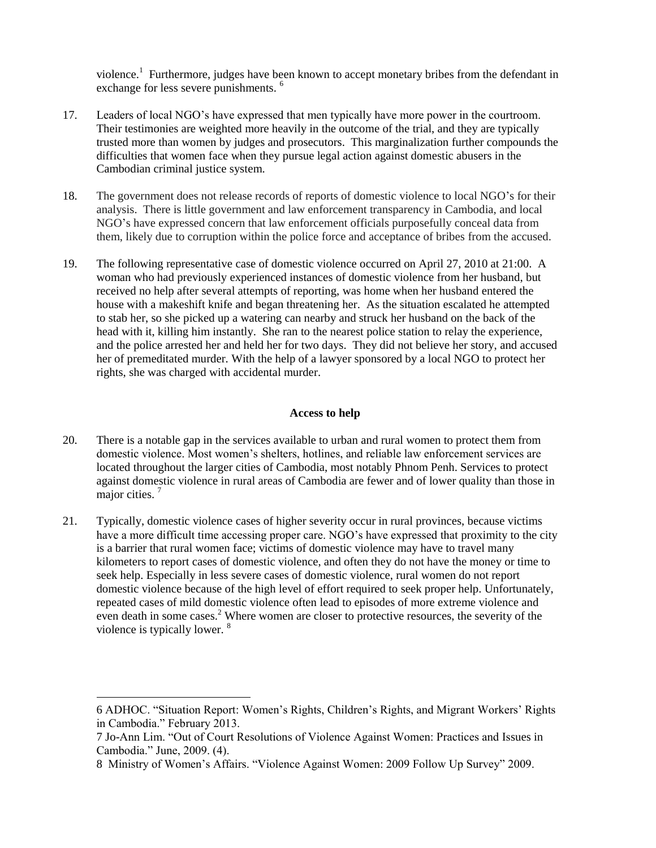violence.<sup>1</sup> Furthermore, judges have been known to accept monetary bribes from the defendant in exchange for less severe punishments.<sup>6</sup>

- 17. Leaders of local NGO's have expressed that men typically have more power in the courtroom. Their testimonies are weighted more heavily in the outcome of the trial, and they are typically trusted more than women by judges and prosecutors. This marginalization further compounds the difficulties that women face when they pursue legal action against domestic abusers in the Cambodian criminal justice system.
- 18. The government does not release records of reports of domestic violence to local NGO's for their analysis. There is little government and law enforcement transparency in Cambodia, and local NGO's have expressed concern that law enforcement officials purposefully conceal data from them, likely due to corruption within the police force and acceptance of bribes from the accused.
- 19. The following representative case of domestic violence occurred on April 27, 2010 at 21:00. A woman who had previously experienced instances of domestic violence from her husband, but received no help after several attempts of reporting, was home when her husband entered the house with a makeshift knife and began threatening her. As the situation escalated he attempted to stab her, so she picked up a watering can nearby and struck her husband on the back of the head with it, killing him instantly. She ran to the nearest police station to relay the experience, and the police arrested her and held her for two days. They did not believe her story, and accused her of premeditated murder. With the help of a lawyer sponsored by a local NGO to protect her rights, she was charged with accidental murder.

#### **Access to help**

- 20. There is a notable gap in the services available to urban and rural women to protect them from domestic violence. Most women's shelters, hotlines, and reliable law enforcement services are located throughout the larger cities of Cambodia, most notably Phnom Penh. Services to protect against domestic violence in rural areas of Cambodia are fewer and of lower quality than those in major cities.<sup>7</sup>
- 21. Typically, domestic violence cases of higher severity occur in rural provinces, because victims have a more difficult time accessing proper care. NGO's have expressed that proximity to the city is a barrier that rural women face; victims of domestic violence may have to travel many kilometers to report cases of domestic violence, and often they do not have the money or time to seek help. Especially in less severe cases of domestic violence, rural women do not report domestic violence because of the high level of effort required to seek proper help. Unfortunately, repeated cases of mild domestic violence often lead to episodes of more extreme violence and even death in some cases.<sup>2</sup> Where women are closer to protective resources, the severity of the violence is typically lower. <sup>8</sup>

 $\overline{a}$ 

<sup>6</sup> ADHOC. "Situation Report: Women's Rights, Children's Rights, and Migrant Workers' Rights in Cambodia." February 2013.

<sup>7</sup> Jo-Ann Lim. "Out of Court Resolutions of Violence Against Women: Practices and Issues in Cambodia." June, 2009. (4).

<sup>8</sup> Ministry of Women's Affairs. "Violence Against Women: 2009 Follow Up Survey" 2009.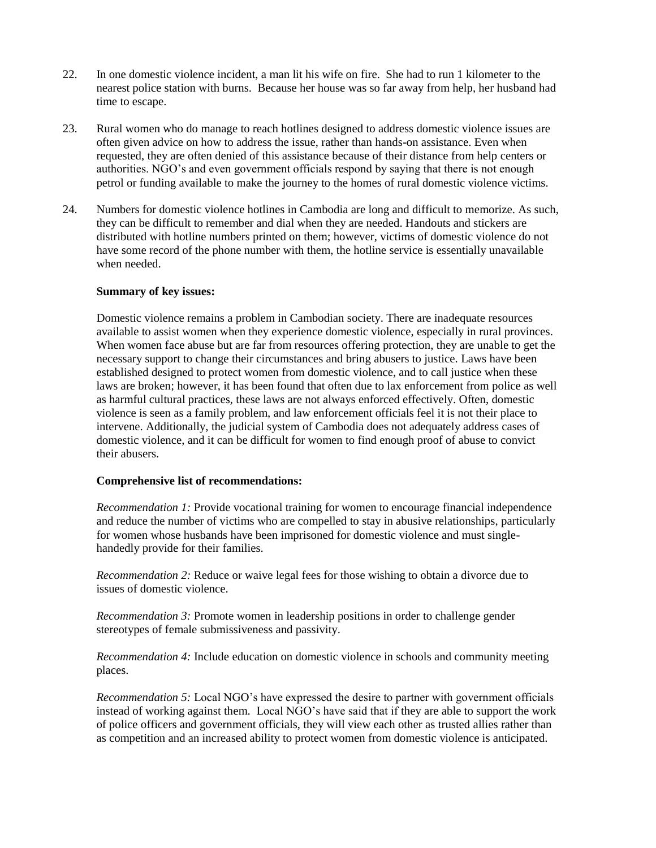- 22. In one domestic violence incident, a man lit his wife on fire. She had to run 1 kilometer to the nearest police station with burns. Because her house was so far away from help, her husband had time to escape.
- 23. Rural women who do manage to reach hotlines designed to address domestic violence issues are often given advice on how to address the issue, rather than hands-on assistance. Even when requested, they are often denied of this assistance because of their distance from help centers or authorities. NGO's and even government officials respond by saying that there is not enough petrol or funding available to make the journey to the homes of rural domestic violence victims.
- 24. Numbers for domestic violence hotlines in Cambodia are long and difficult to memorize. As such, they can be difficult to remember and dial when they are needed. Handouts and stickers are distributed with hotline numbers printed on them; however, victims of domestic violence do not have some record of the phone number with them, the hotline service is essentially unavailable when needed.

#### **Summary of key issues:**

Domestic violence remains a problem in Cambodian society. There are inadequate resources available to assist women when they experience domestic violence, especially in rural provinces. When women face abuse but are far from resources offering protection, they are unable to get the necessary support to change their circumstances and bring abusers to justice. Laws have been established designed to protect women from domestic violence, and to call justice when these laws are broken; however, it has been found that often due to lax enforcement from police as well as harmful cultural practices, these laws are not always enforced effectively. Often, domestic violence is seen as a family problem, and law enforcement officials feel it is not their place to intervene. Additionally, the judicial system of Cambodia does not adequately address cases of domestic violence, and it can be difficult for women to find enough proof of abuse to convict their abusers.

#### **Comprehensive list of recommendations:**

*Recommendation 1:* Provide vocational training for women to encourage financial independence and reduce the number of victims who are compelled to stay in abusive relationships, particularly for women whose husbands have been imprisoned for domestic violence and must singlehandedly provide for their families.

*Recommendation 2:* Reduce or waive legal fees for those wishing to obtain a divorce due to issues of domestic violence.

*Recommendation 3:* Promote women in leadership positions in order to challenge gender stereotypes of female submissiveness and passivity.

*Recommendation 4:* Include education on domestic violence in schools and community meeting places.

*Recommendation 5:* Local NGO's have expressed the desire to partner with government officials instead of working against them. Local NGO's have said that if they are able to support the work of police officers and government officials, they will view each other as trusted allies rather than as competition and an increased ability to protect women from domestic violence is anticipated.